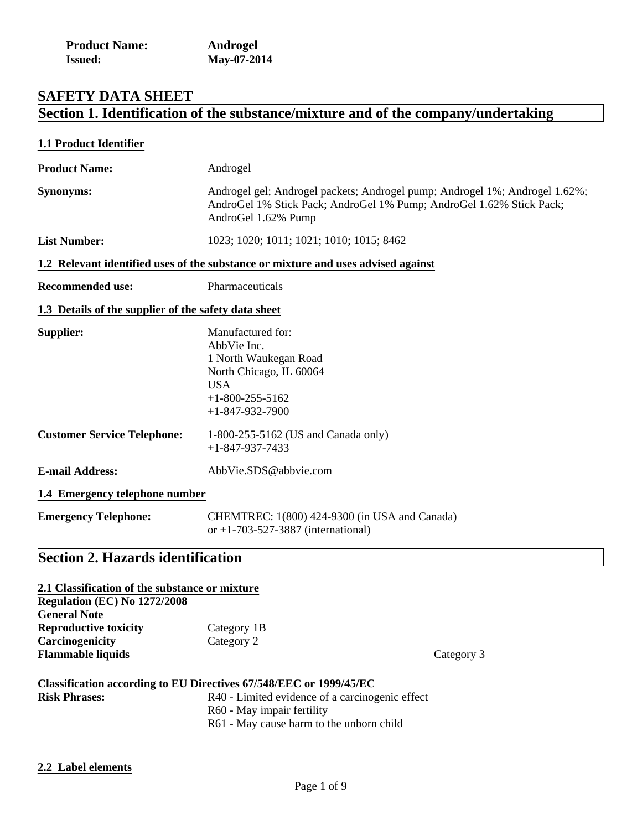| <b>Product Name:</b> | Androgel    |
|----------------------|-------------|
| <b>Issued:</b>       | May-07-2014 |

# **SAFETY DATA SHEET Section 1. Identification of the substance/mixture and of the company/undertaking**

| 1.1 Product Identifier                               |                                                                                                                                                                            |
|------------------------------------------------------|----------------------------------------------------------------------------------------------------------------------------------------------------------------------------|
| <b>Product Name:</b>                                 | Androgel                                                                                                                                                                   |
| Synonyms:                                            | Androgel gel; Androgel packets; Androgel pump; Androgel 1%; Androgel 1.62%;<br>AndroGel 1% Stick Pack; AndroGel 1% Pump; AndroGel 1.62% Stick Pack;<br>AndroGel 1.62% Pump |
| <b>List Number:</b>                                  | 1023; 1020; 1011; 1021; 1010; 1015; 8462                                                                                                                                   |
|                                                      | 1.2 Relevant identified uses of the substance or mixture and uses advised against                                                                                          |
| <b>Recommended use:</b>                              | Pharmaceuticals                                                                                                                                                            |
| 1.3 Details of the supplier of the safety data sheet |                                                                                                                                                                            |
| Supplier:                                            | Manufactured for:<br>AbbVie Inc.<br>1 North Waukegan Road<br>North Chicago, IL 60064<br><b>USA</b><br>$+1 - 800 - 255 - 5162$<br>$+1 - 847 - 932 - 7900$                   |
| <b>Customer Service Telephone:</b>                   | 1-800-255-5162 (US and Canada only)<br>$+1 - 847 - 937 - 7433$                                                                                                             |
| <b>E-mail Address:</b>                               | AbbVie.SDS@abbvie.com                                                                                                                                                      |
| 1.4 Emergency telephone number                       |                                                                                                                                                                            |
| <b>Emergency Telephone:</b>                          | CHEMTREC: 1(800) 424-9300 (in USA and Canada)<br>or +1-703-527-3887 (international)                                                                                        |
| <b>Section 2. Hazards identification</b>             |                                                                                                                                                                            |

| 2.1 Classification of the substance or mixture |                                                                    |
|------------------------------------------------|--------------------------------------------------------------------|
| <b>Regulation (EC) No 1272/2008</b>            |                                                                    |
| <b>General Note</b>                            |                                                                    |
| <b>Reproductive toxicity</b>                   | Category 1B                                                        |
| Carcinogenicity                                | Category 2                                                         |
| <b>Flammable liquids</b>                       |                                                                    |
|                                                | Classification according to EU Directives 67/548/EEC or 1999/45/EC |
| <b>Risk Phrases:</b>                           | R40 - Limited evidence of a carcinogenic effect                    |
|                                                | R60 - May impair fertility                                         |

**Flamma** Category 3

R61 - May cause harm to the unborn child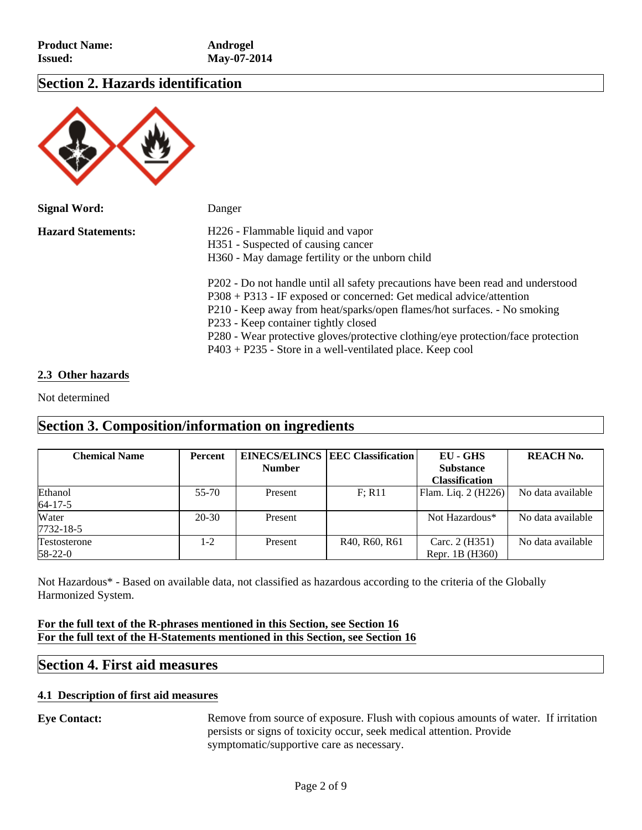### **Section 2. Hazards identification**



| <b>Signal Word:</b>       | Danger                                                                                                                                                                                                                                                                                                                                                                                                                          |
|---------------------------|---------------------------------------------------------------------------------------------------------------------------------------------------------------------------------------------------------------------------------------------------------------------------------------------------------------------------------------------------------------------------------------------------------------------------------|
| <b>Hazard Statements:</b> | H226 - Flammable liquid and vapor<br>H351 - Suspected of causing cancer<br>H360 - May damage fertility or the unborn child                                                                                                                                                                                                                                                                                                      |
|                           | P202 - Do not handle until all safety precautions have been read and understood<br>$P308 + P313$ - IF exposed or concerned: Get medical advice/attention<br>P210 - Keep away from heat/sparks/open flames/hot surfaces. - No smoking<br>P233 - Keep container tightly closed<br>P280 - Wear protective gloves/protective clothing/eye protection/face protection<br>$P403 + P235$ - Store in a well-ventilated place. Keep cool |

### **2.3 Other hazards**

Not determined

## **Section 3. Composition/information on ingredients**

| <b>Chemical Name</b> | <b>Percent</b> |               | <b>EINECS/ELINCS EEC Classification</b> | EU - GHS              | <b>REACH No.</b>  |
|----------------------|----------------|---------------|-----------------------------------------|-----------------------|-------------------|
|                      |                | <b>Number</b> |                                         | <b>Substance</b>      |                   |
|                      |                |               |                                         | <b>Classification</b> |                   |
| Ethanol              | $55 - 70$      | Present       | F: R11                                  | Flam. Liq. 2 (H226)   | No data available |
| $64 - 17 - 5$        |                |               |                                         |                       |                   |
| Water                | $20 - 30$      | Present       |                                         | Not Hazardous*        | No data available |
| 7732-18-5            |                |               |                                         |                       |                   |
| Testosterone         | $1-2$          | Present       | R40, R60, R61                           | Carc. 2 (H351)        | No data available |
| 58-22-0              |                |               |                                         | Repr. 1B (H360)       |                   |

Not Hazardous\* - Based on available data, not classified as hazardous according to the criteria of the Globally Harmonized System.

### **For the full text of the R-phrases mentioned in this Section, see Section 16 For the full text of the H-Statements mentioned in this Section, see Section 16**

### **Section 4. First aid measures**

### **4.1 Description of first aid measures**

**Eye Contact:** Remove from source of exposure. Flush with copious amounts of water. If irritation persists or signs of toxicity occur, seek medical attention. Provide symptomatic/supportive care as necessary.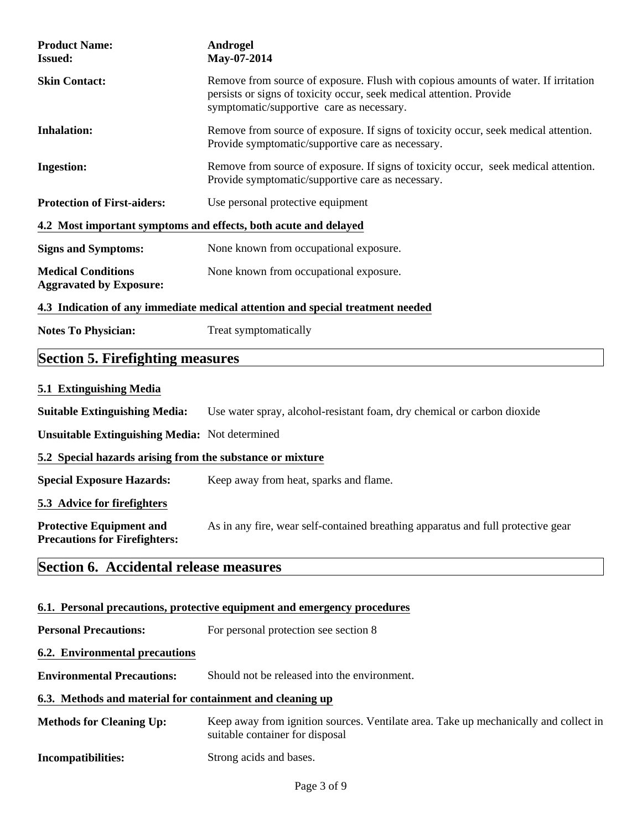| <b>Product Name:</b><br><b>Issued:</b>                                         | Androgel<br>May-07-2014                                                                                                                                                                                 |  |  |
|--------------------------------------------------------------------------------|---------------------------------------------------------------------------------------------------------------------------------------------------------------------------------------------------------|--|--|
| <b>Skin Contact:</b>                                                           | Remove from source of exposure. Flush with copious amounts of water. If irritation<br>persists or signs of toxicity occur, seek medical attention. Provide<br>symptomatic/supportive care as necessary. |  |  |
| <b>Inhalation:</b>                                                             | Remove from source of exposure. If signs of toxicity occur, seek medical attention.<br>Provide symptomatic/supportive care as necessary.                                                                |  |  |
| <b>Ingestion:</b>                                                              | Remove from source of exposure. If signs of toxicity occur, seek medical attention.<br>Provide symptomatic/supportive care as necessary.                                                                |  |  |
| <b>Protection of First-aiders:</b>                                             | Use personal protective equipment                                                                                                                                                                       |  |  |
| 4.2 Most important symptoms and effects, both acute and delayed                |                                                                                                                                                                                                         |  |  |
| <b>Signs and Symptoms:</b>                                                     | None known from occupational exposure.                                                                                                                                                                  |  |  |
| <b>Medical Conditions</b><br><b>Aggravated by Exposure:</b>                    | None known from occupational exposure.                                                                                                                                                                  |  |  |
| 4.3 Indication of any immediate medical attention and special treatment needed |                                                                                                                                                                                                         |  |  |
| <b>Notes To Physician:</b>                                                     | Treat symptomatically                                                                                                                                                                                   |  |  |
| <b>Section 5. Firefighting measures</b>                                        |                                                                                                                                                                                                         |  |  |
| 5.1 Extinguishing Media                                                        |                                                                                                                                                                                                         |  |  |
| <b>Suitable Extinguishing Media:</b>                                           | Use water spray, alcohol-resistant foam, dry chemical or carbon dioxide                                                                                                                                 |  |  |
| <b>Unsuitable Extinguishing Media:</b> Not determined                          |                                                                                                                                                                                                         |  |  |
| 5.2 Special hazards arising from the substance or mixture                      |                                                                                                                                                                                                         |  |  |
| <b>Special Exposure Hazards:</b>                                               | Keep away from heat, sparks and flame.                                                                                                                                                                  |  |  |
| 5.3 Advice for firefighters                                                    |                                                                                                                                                                                                         |  |  |
| <b>Protective Equipment and</b><br><b>Precautions for Firefighters:</b>        | As in any fire, wear self-contained breathing apparatus and full protective gear                                                                                                                        |  |  |
| Section 6. Accidental release measures                                         |                                                                                                                                                                                                         |  |  |
|                                                                                | 6.1. Personal precautions, protective equipment and emergency procedures                                                                                                                                |  |  |

**Personal Precautions:** For personal protection see section 8

### **6.2. Environmental precautions**

**Environmental Precautions:** Should not be released into the environment.

### **6.3. Methods and material for containment and cleaning up**

| <b>Methods for Cleaning Up:</b> | Keep away from ignition sources. Ventilate area. Take up mechanically and collect in<br>suitable container for disposal |
|---------------------------------|-------------------------------------------------------------------------------------------------------------------------|
| <b>Incompatibilities:</b>       | Strong acids and bases.                                                                                                 |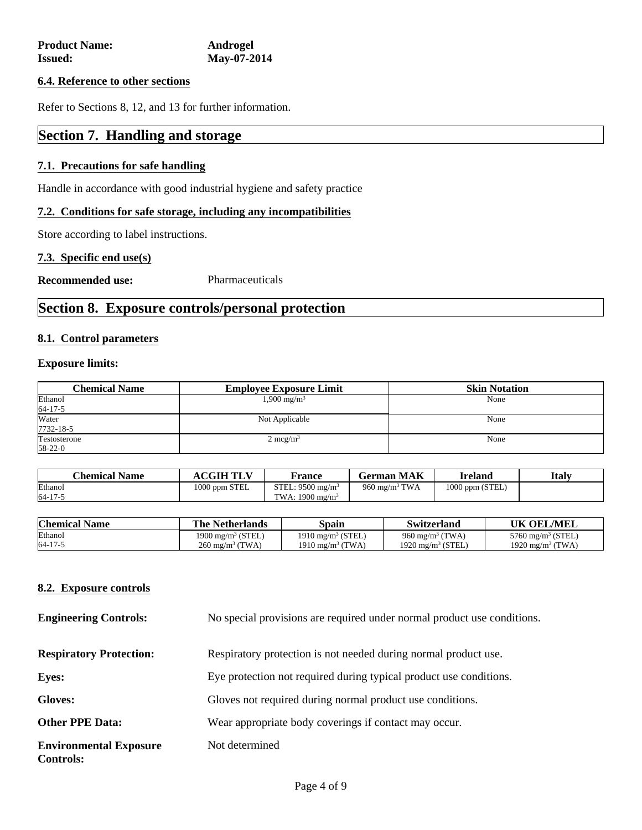### **6.4. Reference to other sections**

Refer to Sections 8, 12, and 13 for further information.

# **Section 7. Handling and storage**

### **7.1. Precautions for safe handling**

Handle in accordance with good industrial hygiene and safety practice

### **7.2. Conditions for safe storage, including any incompatibilities**

Store according to label instructions.

### **7.3. Specific end use(s)**

**Recommended use:** Pharmaceuticals

# **Section 8. Exposure controls/personal protection**

### **8.1. Control parameters**

### **Exposure limits:**

| <b>Chemical Name</b>     | <b>Employee Exposure Limit</b> | <b>Skin Notation</b> |
|--------------------------|--------------------------------|----------------------|
| Ethanol<br>$64 - 17 - 5$ | $1,900 \text{ mg/m}^3$         | None                 |
| Water<br>7732-18-5       | Not Applicable                 | None                 |
| Testosterone<br>58-22-0  | $2 \text{ mcg/m}^3$            | None                 |

| <b>Chemical Name</b> | $\overline{A}\text{CGIH TI T'}$ | France                      | German MAK                | <b>Ireland</b>    | <b>Italy</b> |
|----------------------|---------------------------------|-----------------------------|---------------------------|-------------------|--------------|
| Ethanol              | 1000 ppm STEL                   | STEL: $9500 \text{ me/m}^3$ | 960 mg/m <sup>3</sup> TWA | $1000$ ppm (STEL) |              |
| 64-17-5              |                                 | TWA: $1900 \text{ me/m}^3$  |                           |                   |              |

| <b>Chemical Name</b> | <b>The Netherlands</b>        | Spain                         | Switzerland                  | UK OEL/MEL                    |
|----------------------|-------------------------------|-------------------------------|------------------------------|-------------------------------|
| Ethanol              | 1900 mg/m <sup>3</sup> (STEL) | 1910 mg/m <sup>3</sup> (STEL) | 960 mg/m <sup>3</sup> (TWA)  | 5760 mg/m <sup>3</sup> (STEL) |
| 64-17-5              | $260 \text{ mg/m}^3$ (TWA)    | 1910 mg/m <sup>3</sup> (TWA)  | $1920 \text{ mg/m}^3$ (STEL) | 1920 mg/m <sup>3</sup> (TWA)  |

### **8.2. Exposure controls**

| <b>Engineering Controls:</b>                      | No special provisions are required under normal product use conditions. |
|---------------------------------------------------|-------------------------------------------------------------------------|
| <b>Respiratory Protection:</b>                    | Respiratory protection is not needed during normal product use.         |
| <b>Eyes:</b>                                      | Eye protection not required during typical product use conditions.      |
| <b>Gloves:</b>                                    | Gloves not required during normal product use conditions.               |
| <b>Other PPE Data:</b>                            | Wear appropriate body coverings if contact may occur.                   |
| <b>Environmental Exposure</b><br><b>Controls:</b> | Not determined                                                          |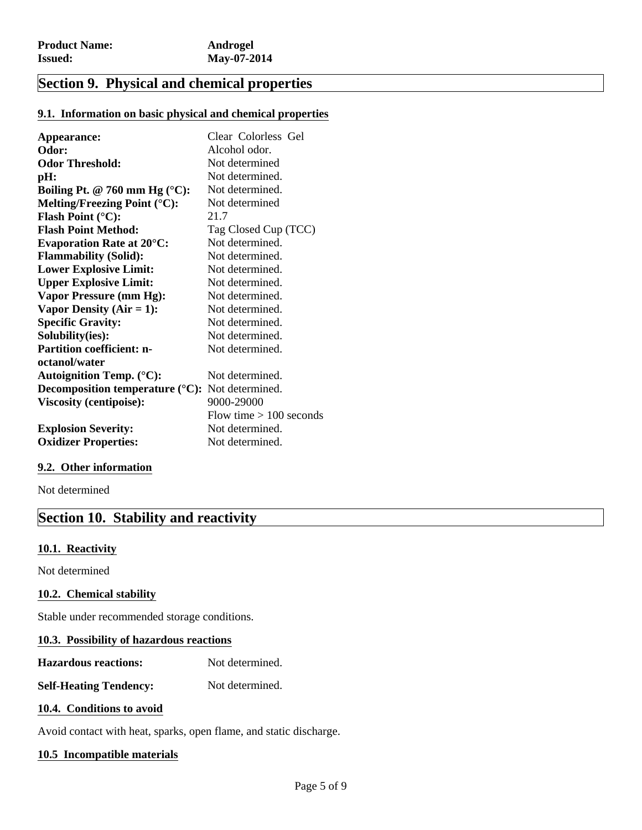# **Section 9. Physical and chemical properties**

### **9.1. Information on basic physical and chemical properties**

| Appearance:                                                       | Clear Colorless Gel       |
|-------------------------------------------------------------------|---------------------------|
| Odor:                                                             | Alcohol odor.             |
| <b>Odor Threshold:</b>                                            | Not determined            |
| pH:                                                               | Not determined.           |
| Boiling Pt. @ 760 mm Hg ( $^{\circ}$ C):                          | Not determined.           |
| Melting/Freezing Point $({}^{\circ}C)$ :                          | Not determined            |
| <b>Flash Point (<math>^{\circ}</math>C):</b>                      | 21.7                      |
| <b>Flash Point Method:</b>                                        | Tag Closed Cup (TCC)      |
| <b>Evaporation Rate at 20°C:</b>                                  | Not determined.           |
| <b>Flammability (Solid):</b>                                      | Not determined.           |
| <b>Lower Explosive Limit:</b>                                     | Not determined.           |
| <b>Upper Explosive Limit:</b>                                     | Not determined.           |
| Vapor Pressure (mm Hg):                                           | Not determined.           |
| Vapor Density ( $Air = 1$ ):                                      | Not determined.           |
| <b>Specific Gravity:</b>                                          | Not determined.           |
| Solubility(ies):                                                  | Not determined.           |
| <b>Partition coefficient: n-</b>                                  | Not determined.           |
| octanol/water                                                     |                           |
| <b>Autoignition Temp. (°C):</b>                                   | Not determined.           |
| <b>Decomposition temperature</b> ( $^{\circ}$ C): Not determined. |                           |
| <b>Viscosity (centipoise):</b>                                    | 9000-29000                |
|                                                                   | Flow time $> 100$ seconds |
| <b>Explosion Severity:</b>                                        | Not determined.           |
| <b>Oxidizer Properties:</b>                                       | Not determined.           |

### **9.2. Other information**

Not determined

### **Section 10. Stability and reactivity**

### **10.1. Reactivity**

Not determined

### **10.2. Chemical stability**

Stable under recommended storage conditions.

### **10.3. Possibility of hazardous reactions**

**Hazardous reactions:** Not determined.

**Self-Heating Tendency:** Not determined.

### **10.4. Conditions to avoid**

Avoid contact with heat, sparks, open flame, and static discharge.

### **10.5 Incompatible materials**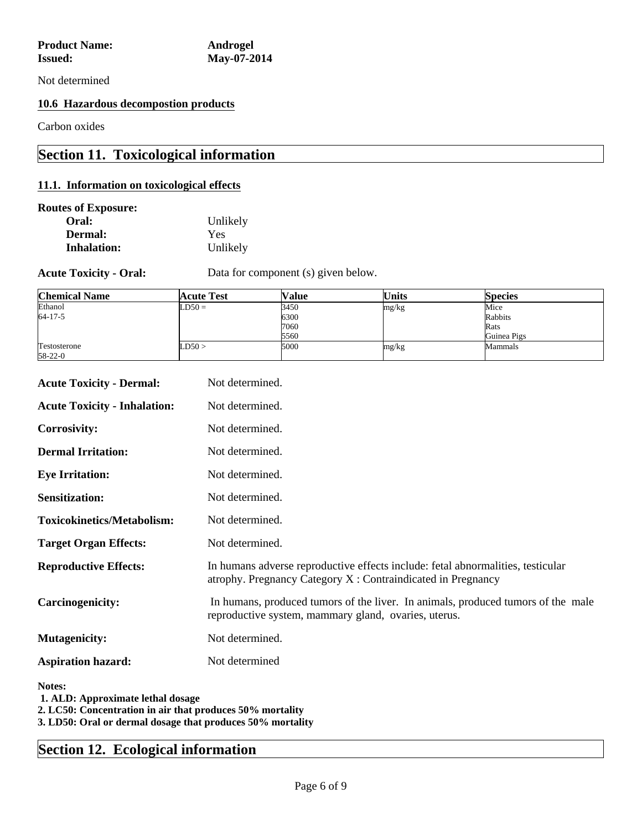Not determined

### **10.6 Hazardous decompostion products**

Carbon oxides

# **Section 11. Toxicological information**

### **11.1. Information on toxicological effects**

### **Routes of Exposure:**

| Oral:              | Unlikely   |
|--------------------|------------|
| Dermal:            | <b>Yes</b> |
| <b>Inhalation:</b> | Unlikely   |

**Acute Toxicity - Oral:** Data for component (s) given below.

| <b>Chemical Name</b>    | <b>Acute Test</b> | Value | <b>Units</b> | <b>Species</b> |
|-------------------------|-------------------|-------|--------------|----------------|
| Ethanol                 | $LD50 =$          | 3450  | mg/kg        | Mice           |
| 64-17-5                 |                   | 6300  |              | Rabbits        |
|                         |                   | 7060  |              | Rats           |
|                         |                   | 5560  |              | Guinea Pigs    |
| Testosterone<br>58-22-0 | LD50 >            | 5000  | mg/kg        | Mammals        |

| <b>Acute Toxicity - Dermal:</b>                                                                          | Not determined.                                                                                                                                |
|----------------------------------------------------------------------------------------------------------|------------------------------------------------------------------------------------------------------------------------------------------------|
| <b>Acute Toxicity - Inhalation:</b>                                                                      | Not determined.                                                                                                                                |
| <b>Corrosivity:</b>                                                                                      | Not determined.                                                                                                                                |
| <b>Dermal Irritation:</b>                                                                                | Not determined.                                                                                                                                |
| <b>Eye Irritation:</b>                                                                                   | Not determined.                                                                                                                                |
| <b>Sensitization:</b>                                                                                    | Not determined.                                                                                                                                |
| <b>Toxicokinetics/Metabolism:</b>                                                                        | Not determined.                                                                                                                                |
| <b>Target Organ Effects:</b>                                                                             | Not determined.                                                                                                                                |
| <b>Reproductive Effects:</b>                                                                             | In humans adverse reproductive effects include: fetal abnormalities, testicular<br>atrophy. Pregnancy Category X: Contraindicated in Pregnancy |
| <b>Carcinogenicity:</b>                                                                                  | In humans, produced tumors of the liver. In animals, produced tumors of the male<br>reproductive system, mammary gland, ovaries, uterus.       |
| <b>Mutagenicity:</b>                                                                                     | Not determined.                                                                                                                                |
| <b>Aspiration hazard:</b>                                                                                | Not determined                                                                                                                                 |
| Notes:<br>1. ALD: Approximate lethal dosage<br>2. LC50: Concentration in air that produces 50% mortality |                                                                                                                                                |

**3. LD50: Oral or dermal dosage that produces 50% mortality**

# **Section 12. Ecological information**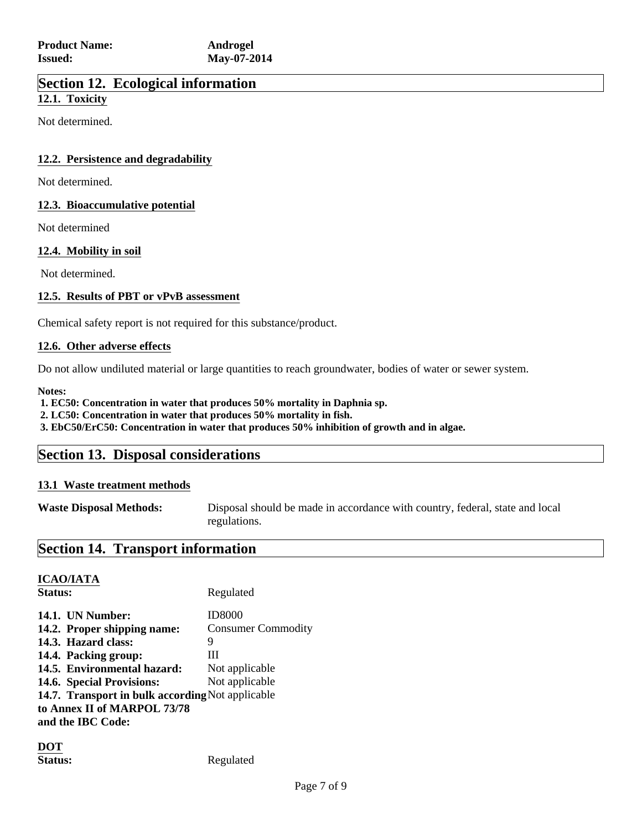### **Section 12. Ecological information**

### **12.1. Toxicity**

Not determined.

### **12.2. Persistence and degradability**

Not determined.

### **12.3. Bioaccumulative potential**

Not determined

### **12.4. Mobility in soil**

Not determined.

### **12.5. Results of PBT or vPvB assessment**

Chemical safety report is not required for this substance/product.

### **12.6. Other adverse effects**

Do not allow undiluted material or large quantities to reach groundwater, bodies of water or sewer system.

**Notes:**

 **1. EC50: Concentration in water that produces 50% mortality in Daphnia sp.**

 **2. LC50: Concentration in water that produces 50% mortality in fish.**

 **3. EbC50/ErC50: Concentration in water that produces 50% inhibition of growth and in algae.**

### **Section 13. Disposal considerations**

### **13.1 Waste treatment methods**

**Waste Disposal Methods:** Disposal should be made in accordance with country, federal, state and local regulations.

# **Section 14. Transport information**

### **ICAO/IATA**

Status: Regulated **14.1. UN Number:** ID8000 14.2. Proper shipping name: Consumer Commodity **14.3. Hazard class:** 9 **14.4. Packing group:** III 14.5. Environmental hazard: Not applicable 14.6. Special Provisions: Not applicable **14.7. Transport in bulk according** Not applicable **to Annex II of MARPOL 73/78 and the IBC Code:**

**DOT**

Status: Regulated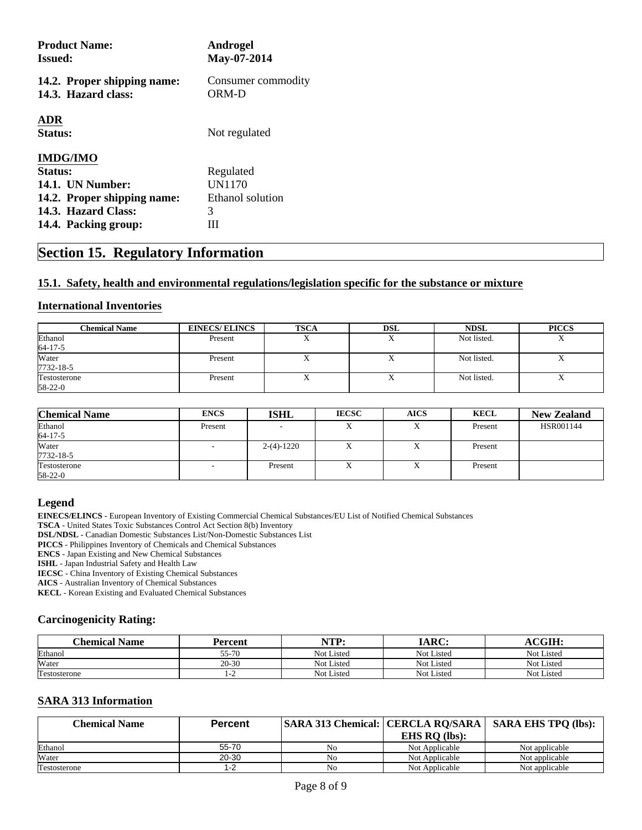| <b>Product Name:</b><br><b>Issued:</b>             | <b>Androgel</b><br>May-07-2014 |
|----------------------------------------------------|--------------------------------|
| 14.2. Proper shipping name:<br>14.3. Hazard class: | Consumer commodity<br>ORM-D    |
| <b>ADR</b><br>Status:                              | Not regulated                  |
| <b>IMDG/IMO</b>                                    |                                |
| <b>Status:</b>                                     | Regulated                      |
| <b>14.1. UN Number:</b>                            | <b>UN1170</b>                  |
| 14.2. Proper shipping name:                        | Ethanol solution               |
| 14.3. Hazard Class:                                | 3                              |
| 14.4. Packing group:                               |                                |

## **Section 15. Regulatory Information**

### **15.1. Safety, health and environmental regulations/legislation specific for the substance or mixture**

### **International Inventories**

| <b>Chemical Name</b> | <b>EINECS/ELINCS</b> | <b>TSCA</b> | DSL       | <b>NDSL</b> | <b>PICCS</b> |
|----------------------|----------------------|-------------|-----------|-------------|--------------|
| Ethanol              | Present              | $\Lambda$   | $\Lambda$ | Not listed. | $\mathbf{A}$ |
| $64 - 17 - 5$        |                      |             |           |             |              |
| Water                | Present              | ∡           | $\lambda$ | Not listed. |              |
| 7732-18-5            |                      |             |           |             |              |
| Testosterone         | Present              | △           |           | Not listed. |              |
| 58-22-0              |                      |             |           |             |              |

| <b>Chemical Name</b>     | <b>ENCS</b> | <b>ISHL</b>  | <b>IECSC</b> | <b>AICS</b> | <b>KECL</b> | <b>New Zealand</b> |
|--------------------------|-------------|--------------|--------------|-------------|-------------|--------------------|
| Ethanol<br>$64 - 17 - 5$ | Present     |              |              | л           | Present     | HSR001144          |
| Water<br>7732-18-5       |             | $2-(4)-1220$ | △            | X           | Present     |                    |
| Testosterone<br>58-22-0  |             | Present      |              | л           | Present     |                    |

### **Legend**

**EINECS/ELINCS** - European Inventory of Existing Commercial Chemical Substances/EU List of Notified Chemical Substances

**TSCA** - United States Toxic Substances Control Act Section 8(b) Inventory

**DSL/NDSL** - Canadian Domestic Substances List/Non-Domestic Substances List

**PICCS** - Philippines Inventory of Chemicals and Chemical Substances

**ENCS** - Japan Existing and New Chemical Substances

**ISHL** - Japan Industrial Safety and Health Law

**IECSC** - China Inventory of Existing Chemical Substances

**AICS** - Australian Inventory of Chemical Substances

**KECL** - Korean Existing and Evaluated Chemical Substances

### **Carcinogenicity Rating:**

| <b>Chemical Name</b> | Percent   | NTP:       | <b>IARC:</b> | <b>CGIH</b>       |
|----------------------|-----------|------------|--------------|-------------------|
| Ethanol              | 55-70     | Not Listed | Not Listed   | Not Listed        |
| Water                | $20 - 30$ | Not Listed | Not Listed   | <b>Not Listed</b> |
| Testosterone         |           | Not Listed | Not Listed   | Not Listed        |

### **SARA 313 Information**

| Chemical Name | <b>Percent</b> |                |                 | SARA 313 Chemical: CERCLA RO/SARA   SARA EHS TPO (lbs): |
|---------------|----------------|----------------|-----------------|---------------------------------------------------------|
|               |                |                | EHS $RO$ (lbs): |                                                         |
| Ethanol       | 55-70          | N <sub>0</sub> | Not Applicable  | Not applicable                                          |
| Water         | 20-30          | No             | Not Applicable  | Not applicable                                          |
| Testosterone  | 1-2            | No             | Not Applicable  | Not applicable                                          |